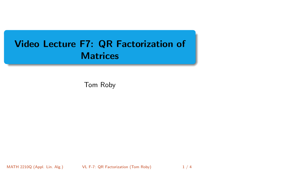# <span id="page-0-0"></span>Video Lecture F7: QR Factorization of **Matrices**

Tom Roby

MATH 2210Q (Appl. Lin. Alg.) VL F-7: QR Factorization (Tom Roby) 1 / 4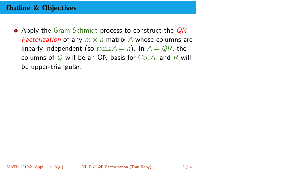## Outline & Objectives

 $\bullet$  Apply the Gram-Schmidt process to construct the  $QR$ *Factorization* of any  $m \times n$  matrix A whose columns are linearly independent (so rank  $A = n$ ). In  $A = QR$ , the columns of  $Q$  will be an ON basis for Col A, and R will be upper-triangular.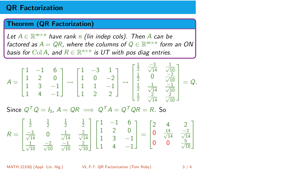## QR Factorization

### Theorem (QR Factorization)

Let  $A \in \mathbb{R}^{m \times n}$  have rank n (lin indep cols). Then A can be factored as  $A = QR$ , where the columns of  $Q \in \mathbb{R}^{m \times n}$  form an ON basis for Col A, and  $R \in \mathbb{R}^{n \times n}$  is UT with pos diag entries.

$$
A = \begin{bmatrix} 1 & -1 & 6 \\ 1 & 2 & 0 \\ 1 & 3 & -1 \\ 1 & 4 & -1 \end{bmatrix} \leadsto \begin{bmatrix} 1 & -3 & 1 \\ 1 & 0 & -2 \\ 1 & 1 & -1 \\ 1 & 2 & 2 \end{bmatrix} \leadsto \begin{bmatrix} \frac{1}{2} & \frac{-3}{\sqrt{14}} & \frac{1}{\sqrt{10}} \\ \frac{1}{2} & 0 & \frac{-2}{\sqrt{10}} \\ \frac{1}{2} & \frac{1}{\sqrt{14}} & \frac{-1}{\sqrt{10}} \\ \frac{1}{2} & \frac{2}{\sqrt{14}} & \frac{2}{\sqrt{10}} \end{bmatrix} = Q.
$$

Since  $Q^T Q = I_3$ ,  $A = QR \implies Q^T A = Q^T QR = R$ . So

$$
R = \begin{bmatrix} \frac{1}{2} & \frac{1}{2} & \frac{1}{2} & \frac{1}{2} \\ \frac{-3}{\sqrt{14}} & 0 & \frac{1}{\sqrt{14}} & \frac{2}{\sqrt{14}} \\ \frac{1}{\sqrt{10}} & \frac{-2}{\sqrt{10}} & \frac{-1}{\sqrt{10}} & \frac{2}{\sqrt{10}} \end{bmatrix} \begin{bmatrix} 1 & -1 & 6 \\ 1 & 2 & 0 \\ 1 & 3 & -1 \\ 1 & 4 & -1 \end{bmatrix} = \begin{bmatrix} 2 & 4 & 2 \\ 0 & \frac{14}{\sqrt{14}} & \frac{-2}{\sqrt{14}} \\ 0 & 0 & \frac{5}{\sqrt{10}} \end{bmatrix}
$$

MATH 2210Q (Appl. Lin. Alg.) [VL F-7: QR Factorization](#page-0-0) (Tom Roby) 3 / 4